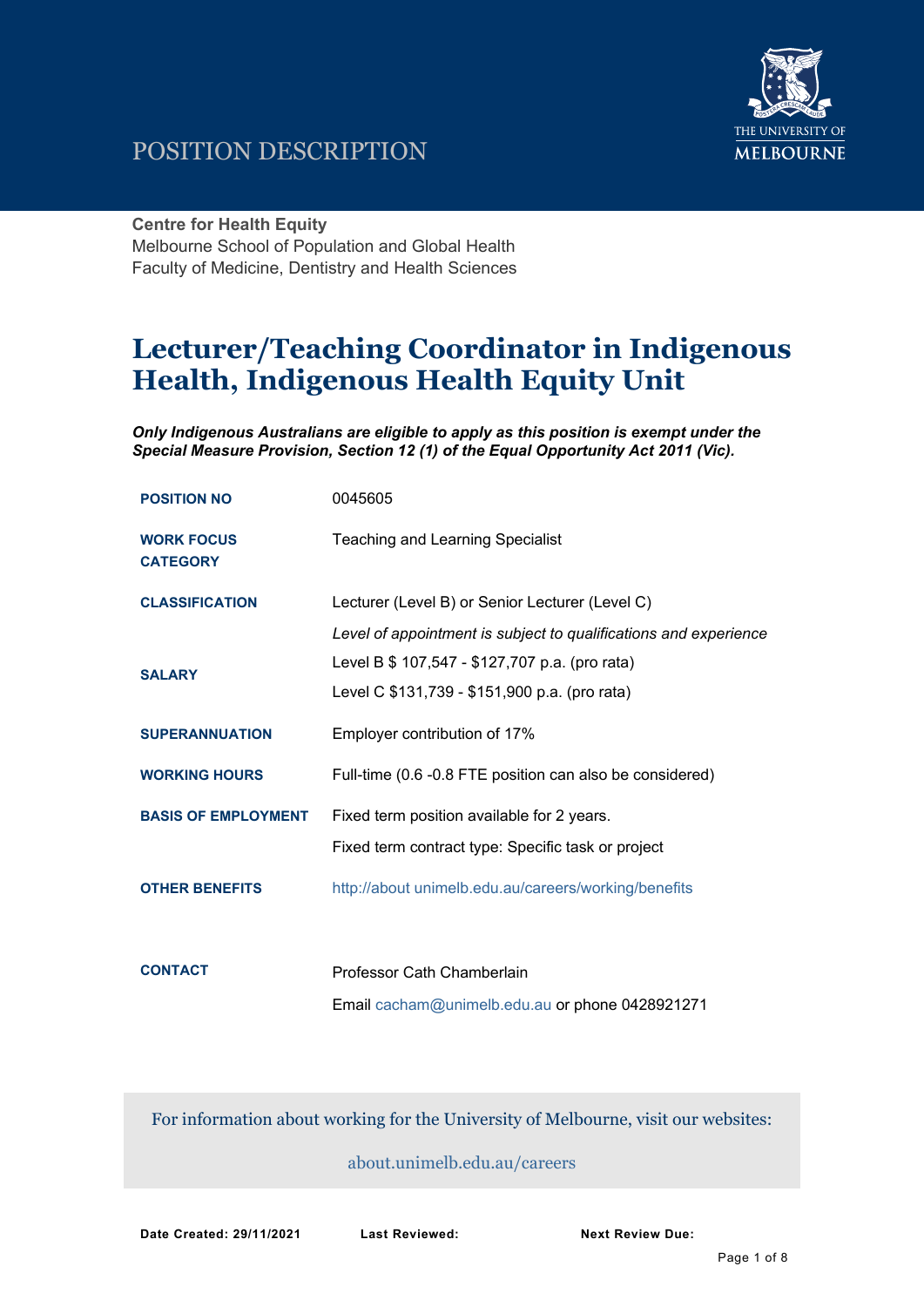

# POSITION DESCRIPTION

### **Centre for Health Equity**

Melbourne School of Population and Global Health Faculty of Medicine, Dentistry and Health Sciences

# **Lecturer/Teaching Coordinator in Indigenous Health, Indigenous Health Equity Unit**

*Only Indigenous Australians are eligible to apply as this position is exempt under the Special Measure Provision, Section 12 (1) of the Equal Opportunity Act 2011 (Vic).*

| <b>POSITION NO</b>                   | 0045605                                                                                                             |
|--------------------------------------|---------------------------------------------------------------------------------------------------------------------|
| <b>WORK FOCUS</b><br><b>CATEGORY</b> | <b>Teaching and Learning Specialist</b>                                                                             |
| <b>CLASSIFICATION</b>                | Lecturer (Level B) or Senior Lecturer (Level C)<br>Level of appointment is subject to qualifications and experience |
| <b>SALARY</b>                        | Level B \$ 107,547 - \$127,707 p.a. (pro rata)<br>Level C \$131,739 - \$151,900 p.a. (pro rata)                     |
| <b>SUPERANNUATION</b>                | Employer contribution of 17%                                                                                        |
| <b>WORKING HOURS</b>                 | Full-time (0.6 -0.8 FTE position can also be considered)                                                            |
| <b>BASIS OF EMPLOYMENT</b>           | Fixed term position available for 2 years.<br>Fixed term contract type: Specific task or project                    |
| <b>OTHER BENEFITS</b>                | http://about unimelb.edu.au/careers/working/benefits                                                                |
|                                      |                                                                                                                     |
| <b>CONTACT</b>                       | Professor Cath Chamberlain                                                                                          |

Email [cacham@unimelb.edu.au](mailto:cacham@unimelb.edu.au) or phone 0428921271

For information about working for the University of Melbourne, visit our websites:

### [about.unimelb.edu.au/careers](http://hr.unimelb.edu.au/careers)

**Date Created: 29/11/2021 Last Reviewed: Next Review Due:**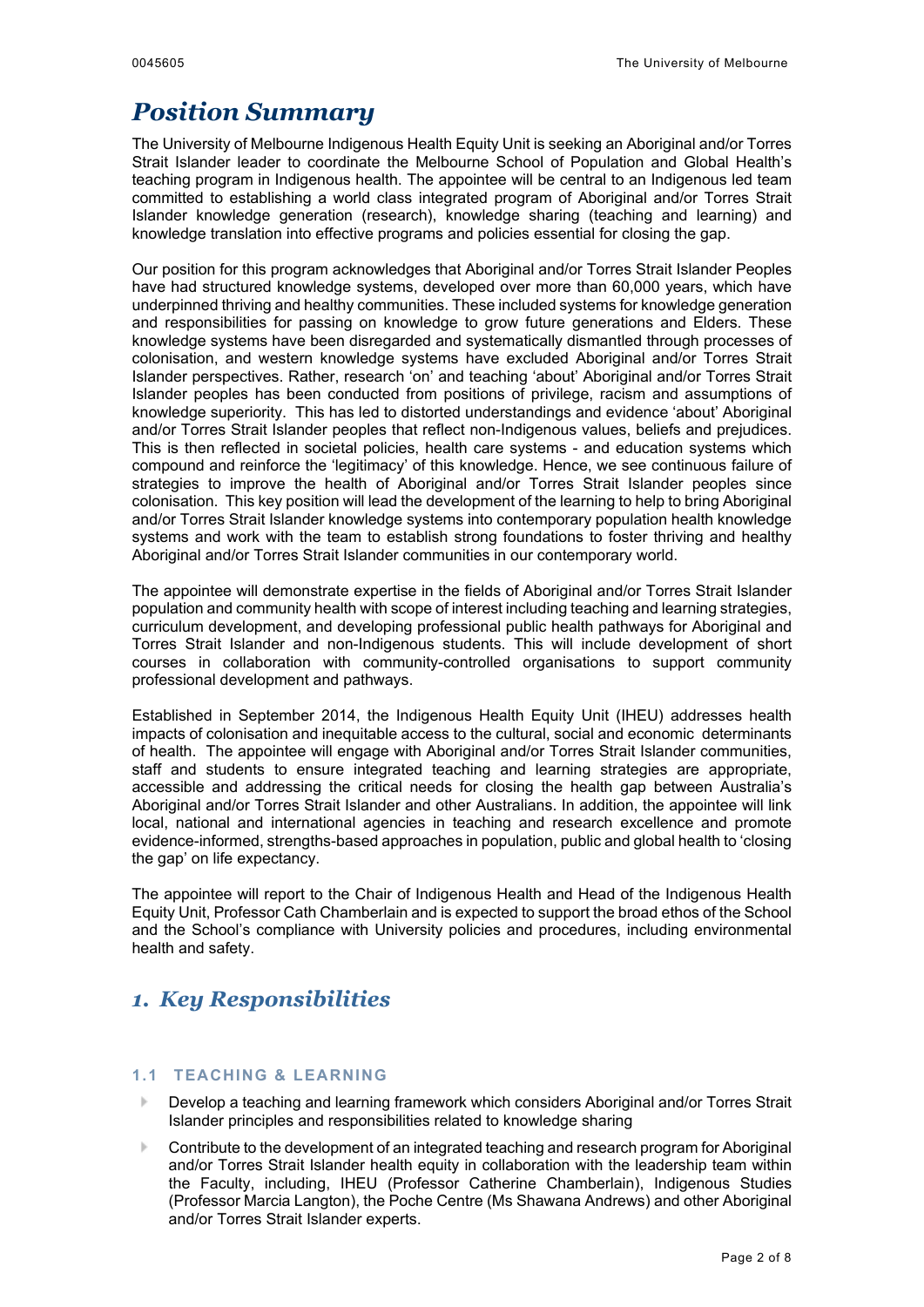# *Position Summary*

The University of Melbourne Indigenous Health Equity Unit is seeking an Aboriginal and/or Torres Strait Islander leader to coordinate the Melbourne School of Population and Global Health's teaching program in Indigenous health. The appointee will be central to an Indigenous led team committed to establishing a world class integrated program of Aboriginal and/or Torres Strait Islander knowledge generation (research), knowledge sharing (teaching and learning) and knowledge translation into effective programs and policies essential for closing the gap.

Our position for this program acknowledges that Aboriginal and/or Torres Strait Islander Peoples have had structured knowledge systems, developed over more than 60,000 years, which have underpinned thriving and healthy communities. These included systems for knowledge generation and responsibilities for passing on knowledge to grow future generations and Elders. These knowledge systems have been disregarded and systematically dismantled through processes of colonisation, and western knowledge systems have excluded Aboriginal and/or Torres Strait Islander perspectives. Rather, research 'on' and teaching 'about' Aboriginal and/or Torres Strait Islander peoples has been conducted from positions of privilege, racism and assumptions of knowledge superiority. This has led to distorted understandings and evidence 'about' Aboriginal and/or Torres Strait Islander peoples that reflect non-Indigenous values, beliefs and prejudices. This is then reflected in societal policies, health care systems - and education systems which compound and reinforce the 'legitimacy' of this knowledge. Hence, we see continuous failure of strategies to improve the health of Aboriginal and/or Torres Strait Islander peoples since colonisation. This key position will lead the development of the learning to help to bring Aboriginal and/or Torres Strait Islander knowledge systems into contemporary population health knowledge systems and work with the team to establish strong foundations to foster thriving and healthy Aboriginal and/or Torres Strait Islander communities in our contemporary world.

The appointee will demonstrate expertise in the fields of Aboriginal and/or Torres Strait Islander population and community health with scope of interest including teaching and learning strategies, curriculum development, and developing professional public health pathways for Aboriginal and Torres Strait Islander and non-Indigenous students. This will include development of short courses in collaboration with community-controlled organisations to support community professional development and pathways.

Established in September 2014, the Indigenous Health Equity Unit (IHEU) addresses health impacts of colonisation and inequitable access to the cultural, social and economic determinants of health. The appointee will engage with Aboriginal and/or Torres Strait Islander communities, staff and students to ensure integrated teaching and learning strategies are appropriate, accessible and addressing the critical needs for closing the health gap between Australia's Aboriginal and/or Torres Strait Islander and other Australians. In addition, the appointee will link local, national and international agencies in teaching and research excellence and promote evidence-informed, strengths-based approaches in population, public and global health to 'closing the gap' on life expectancy.

The appointee will report to the Chair of Indigenous Health and Head of the Indigenous Health Equity Unit, Professor Cath Chamberlain and is expected to support the broad ethos of the School and the School's compliance with University policies and procedures, including environmental health and safety.

# *1. Key Responsibilities*

### **1.1 TEACHING & LEARNING**

- $\mathbb{N}$ Develop a teaching and learning framework which considers Aboriginal and/or Torres Strait Islander principles and responsibilities related to knowledge sharing
- Contribute to the development of an integrated teaching and research program for Aboriginal and/or Torres Strait Islander health equity in collaboration with the leadership team within the Faculty, including, IHEU (Professor Catherine Chamberlain), Indigenous Studies (Professor Marcia Langton), the Poche Centre (Ms Shawana Andrews) and other Aboriginal and/or Torres Strait Islander experts.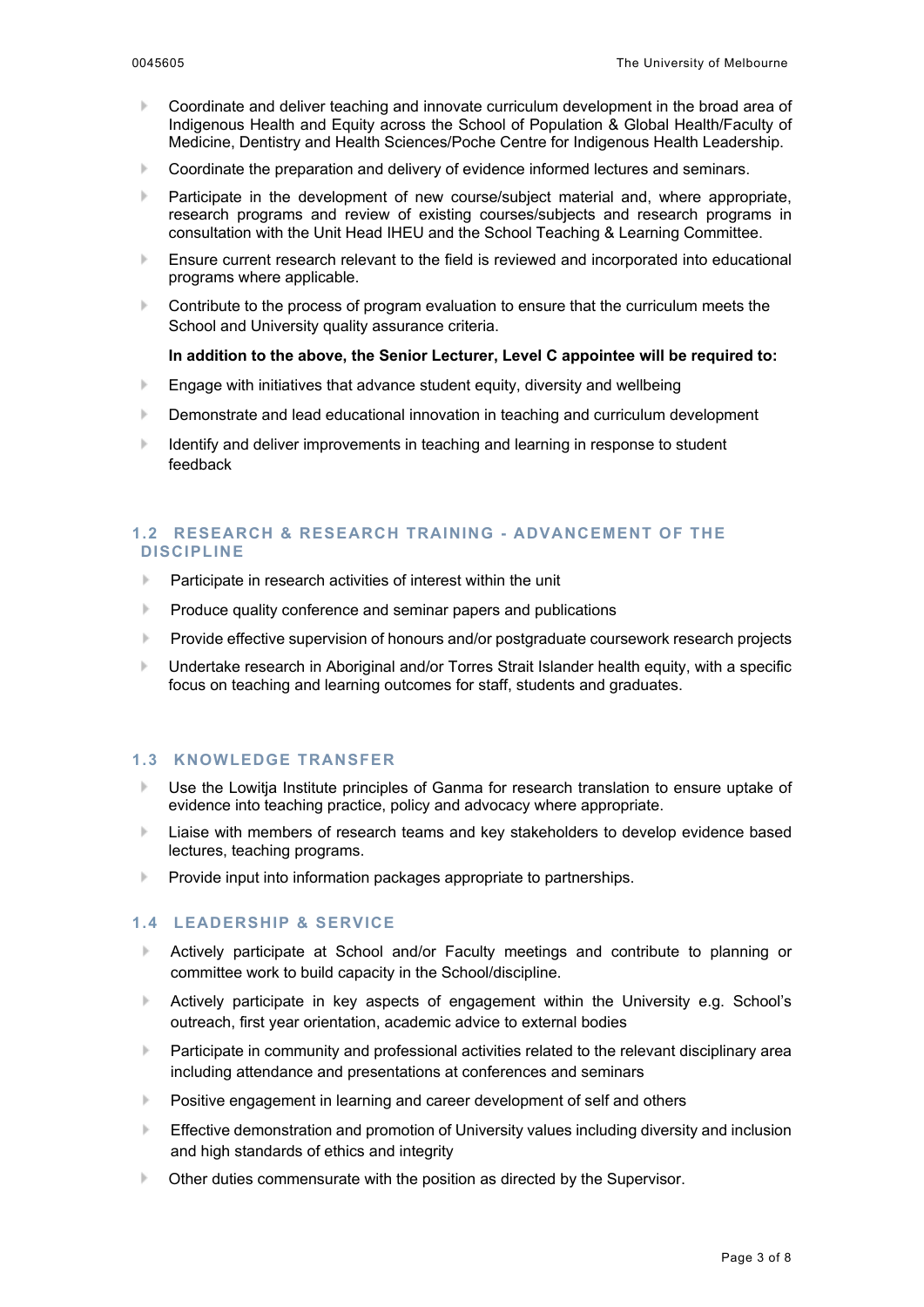- $\mathbf{b}$ Coordinate and deliver teaching and innovate curriculum development in the broad area of Indigenous Health and Equity across the School of Population & Global Health/Faculty of Medicine, Dentistry and Health Sciences/Poche Centre for Indigenous Health Leadership.
- Coordinate the preparation and delivery of evidence informed lectures and seminars.  $\mathbf{b}$
- $\mathbf{b}$ Participate in the development of new course/subject material and, where appropriate, research programs and review of existing courses/subjects and research programs in consultation with the Unit Head IHEU and the School Teaching & Learning Committee.
- $\mathbf{h}$ Ensure current research relevant to the field is reviewed and incorporated into educational programs where applicable.
- $\mathbf{b}$ Contribute to the process of program evaluation to ensure that the curriculum meets the School and University quality assurance criteria.

### **In addition to the above, the Senior Lecturer, Level C appointee will be required to:**

- $\mathbf{b}$ Engage with initiatives that advance student equity, diversity and wellbeing
- $\mathbf{b}$ Demonstrate and lead educational innovation in teaching and curriculum development
- $\mathbf{b}$ Identify and deliver improvements in teaching and learning in response to student feedback

### **1.2 RESEARCH & RESEARCH TRAINING - ADVANCEMENT OF THE DISCIPLINE**

- Participate in research activities of interest within the unit
- $\vert \cdot \vert$ Produce quality conference and seminar papers and publications
- $\mathbf{b}$ Provide effective supervision of honours and/or postgraduate coursework research projects
- Undertake research in Aboriginal and/or Torres Strait Islander health equity, with a specific  $\mathbf b$ focus on teaching and learning outcomes for staff, students and graduates.

### **1.3 KNOWLEDGE TRANSFER**

- Use the Lowitja Institute principles of Ganma for research translation to ensure uptake of  $\mathbbm{N}$ evidence into teaching practice, policy and advocacy where appropriate.
- $\| \cdot \|$ Liaise with members of research teams and key stakeholders to develop evidence based lectures, teaching programs.
- $\vert \cdot \vert$ Provide input into information packages appropriate to partnerships.

### **1.4 LEADERSHIP & SERVICE**

- $\mathbb{N}$ Actively participate at School and/or Faculty meetings and contribute to planning or committee work to build capacity in the School/discipline.
- $\mathbb{N}$ Actively participate in key aspects of engagement within the University e.g. School's outreach, first year orientation, academic advice to external bodies
- $\mathbf{b}$ Participate in community and professional activities related to the relevant disciplinary area including attendance and presentations at conferences and seminars
- Positive engagement in learning and career development of self and others
- $\mathbf{b}$ Effective demonstration and promotion of University values including diversity and inclusion and high standards of ethics and integrity
- $\mathbf{b}$ Other duties commensurate with the position as directed by the Supervisor.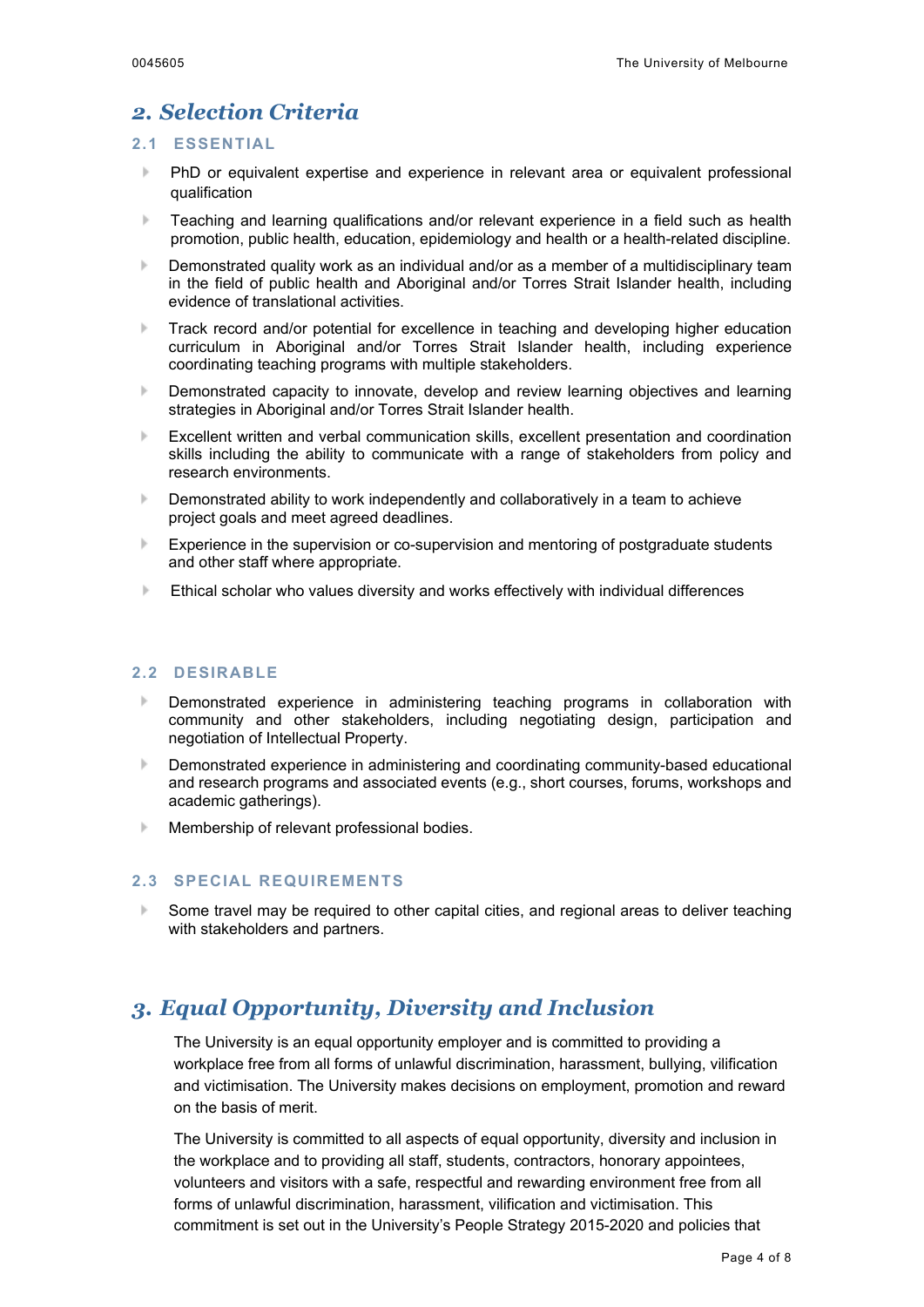### *2. Selection Criteria*

### **2.1 ESSENTIAL**

- PhD or equivalent expertise and experience in relevant area or equivalent professional  $\mathbbm{N}$ qualification
- Teaching and learning qualifications and/or relevant experience in a field such as health  $\mathbf{b}$ promotion, public health, education, epidemiology and health or a health-related discipline.
- $\vert \cdot \vert$ Demonstrated quality work as an individual and/or as a member of a multidisciplinary team in the field of public health and Aboriginal and/or Torres Strait Islander health, including evidence of translational activities.
- Track record and/or potential for excellence in teaching and developing higher education  $\mathbf b$ curriculum in Aboriginal and/or Torres Strait Islander health, including experience coordinating teaching programs with multiple stakeholders.
- $\mathbf{b}$ Demonstrated capacity to innovate, develop and review learning objectives and learning strategies in Aboriginal and/or Torres Strait Islander health.
- Excellent written and verbal communication skills, excellent presentation and coordination  $\vert \cdot \vert$ skills including the ability to communicate with a range of stakeholders from policy and research environments.
- $\mathbf b$ Demonstrated ability to work independently and collaboratively in a team to achieve project goals and meet agreed deadlines.
- $\mathbb{R}$ Experience in the supervision or co-supervision and mentoring of postgraduate students and other staff where appropriate.
- Ethical scholar who values diversity and works effectively with individual differences

### **2.2 DESIRABLE**

- $\vert \cdot \vert$ Demonstrated experience in administering teaching programs in collaboration with community and other stakeholders, including negotiating design, participation and negotiation of Intellectual Property.
- $\mathbf{b}$ Demonstrated experience in administering and coordinating community-based educational and research programs and associated events (e.g., short courses, forums, workshops and academic gatherings).
- Membership of relevant professional bodies.  $\left\vert \cdot \right\rangle$

### **2.3 SPECIAL REQUIREMENTS**

b. Some travel may be required to other capital cities, and regional areas to deliver teaching with stakeholders and partners.

## *3. Equal Opportunity, Diversity and Inclusion*

The University is an equal opportunity employer and is committed to providing a workplace free from all forms of unlawful discrimination, harassment, bullying, vilification and victimisation. The University makes decisions on employment, promotion and reward on the basis of merit.

The University is committed to all aspects of equal opportunity, diversity and inclusion in the workplace and to providing all staff, students, contractors, honorary appointees, volunteers and visitors with a safe, respectful and rewarding environment free from all forms of unlawful discrimination, harassment, vilification and victimisation. This commitment is set out in the University's People Strategy 2015-2020 and policies that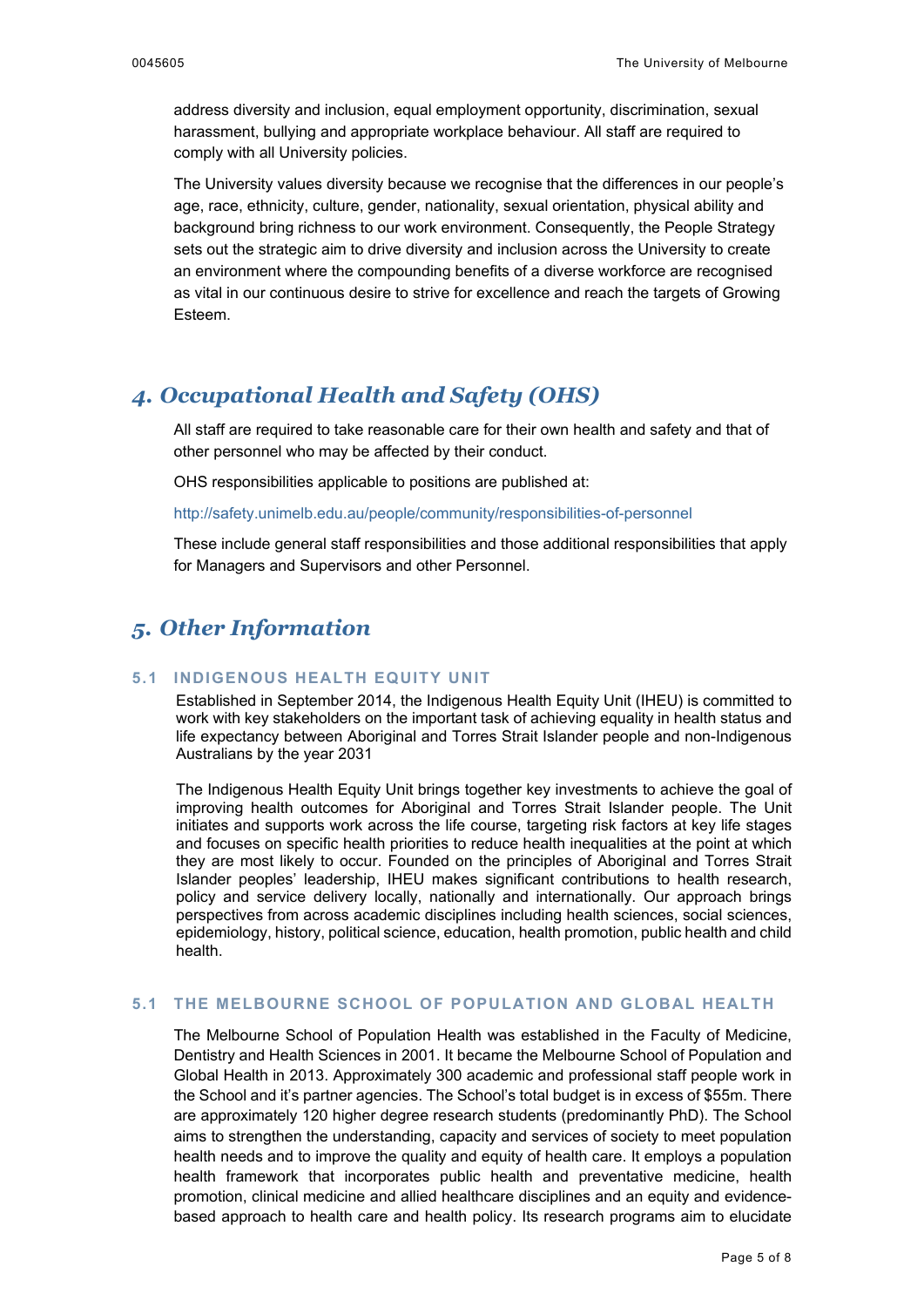address diversity and inclusion, equal employment opportunity, discrimination, sexual harassment, bullying and appropriate workplace behaviour. All staff are required to comply with all University policies.

The University values diversity because we recognise that the differences in our people's age, race, ethnicity, culture, gender, nationality, sexual orientation, physical ability and background bring richness to our work environment. Consequently, the People Strategy sets out the strategic aim to drive diversity and inclusion across the University to create an environment where the compounding benefits of a diverse workforce are recognised as vital in our continuous desire to strive for excellence and reach the targets of Growing Esteem.

## *4. Occupational Health and Safety (OHS)*

All staff are required to take reasonable care for their own health and safety and that of other personnel who may be affected by their conduct.

OHS responsibilities applicable to positions are published at:

<http://safety.unimelb.edu.au/people/community/responsibilities-of-personnel>

These include general staff responsibilities and those additional responsibilities that apply for Managers and Supervisors and other Personnel.

## *5. Other Information*

### **5.1 INDIGENOUS HEALTH EQUITY UNIT**

Established in September 2014, the Indigenous Health Equity Unit (IHEU) is committed to work with key stakeholders on the important task of achieving equality in health status and life expectancy between Aboriginal and Torres Strait Islander people and non-Indigenous Australians by the year 2031

The Indigenous Health Equity Unit brings together key investments to achieve the goal of improving health outcomes for Aboriginal and Torres Strait Islander people. The Unit initiates and supports work across the life course, targeting risk factors at key life stages and focuses on specific health priorities to reduce health inequalities at the point at which they are most likely to occur. Founded on the principles of Aboriginal and Torres Strait Islander peoples' leadership, IHEU makes significant contributions to health research, policy and service delivery locally, nationally and internationally. Our approach brings perspectives from across academic disciplines including health sciences, social sciences, epidemiology, history, political science, education, health promotion, public health and child health.

### **5.1 THE MELBOURNE SCHOOL OF POPULATION AND GLOBAL HEALTH**

The Melbourne School of Population Health was established in the Faculty of Medicine, Dentistry and Health Sciences in 2001. It became the Melbourne School of Population and Global Health in 2013. Approximately 300 academic and professional staff people work in the School and it's partner agencies. The School's total budget is in excess of \$55m. There are approximately 120 higher degree research students (predominantly PhD). The School aims to strengthen the understanding, capacity and services of society to meet population health needs and to improve the quality and equity of health care. It employs a population health framework that incorporates public health and preventative medicine, health promotion, clinical medicine and allied healthcare disciplines and an equity and evidencebased approach to health care and health policy. Its research programs aim to elucidate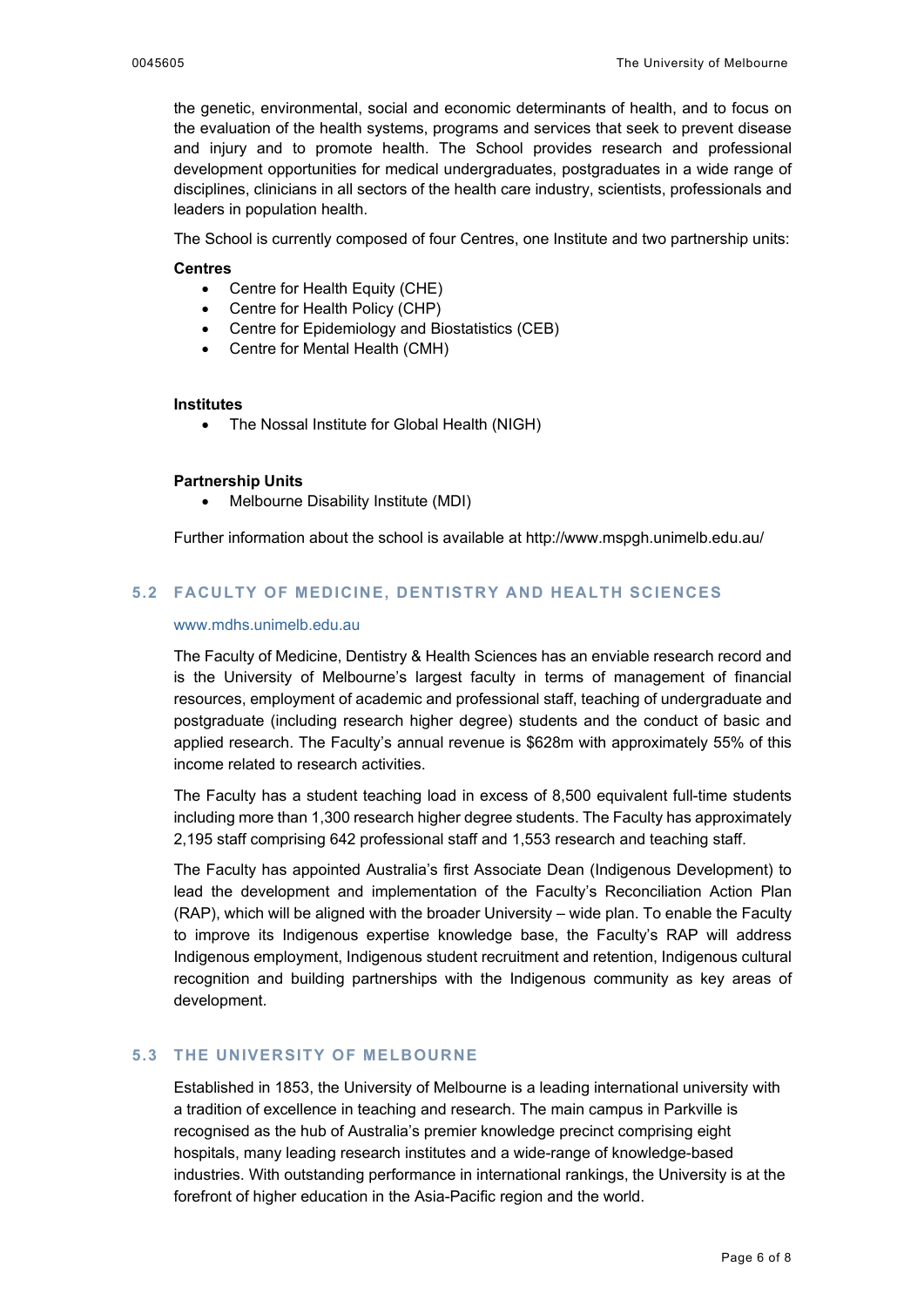the genetic, environmental, social and economic determinants of health, and to focus on the evaluation of the health systems, programs and services that seek to prevent disease and injury and to promote health. The School provides research and professional development opportunities for medical undergraduates, postgraduates in a wide range of disciplines, clinicians in all sectors of the health care industry, scientists, professionals and leaders in population health.

The School is currently composed of four Centres, one Institute and two partnership units:

### **Centres**

- Centre for Health Equity (CHE)
- Centre for Health Policy (CHP)
- Centre for Epidemiology and Biostatistics (CEB)
- Centre for Mental Health (CMH)

#### **Institutes**

• The Nossal Institute for Global Health (NIGH)

#### **Partnership Units**

• Melbourne Disability Institute (MDI)

Further information about the school is available at<http://www.mspgh.unimelb.edu.au/>

### **5.2 FACULTY OF MEDICINE, DENTISTRY AND HEALTH SCIENCES**

### [www.mdhs.unimelb.edu.au](http://www.mdhs.unimelb.edu.au/)

The Faculty of Medicine, Dentistry & Health Sciences has an enviable research record and is the University of Melbourne's largest faculty in terms of management of financial resources, employment of academic and professional staff, teaching of undergraduate and postgraduate (including research higher degree) students and the conduct of basic and applied research. The Faculty's annual revenue is \$628m with approximately 55% of this income related to research activities.

The Faculty has a student teaching load in excess of 8,500 equivalent full-time students including more than 1,300 research higher degree students. The Faculty has approximately 2,195 staff comprising 642 professional staff and 1,553 research and teaching staff.

The Faculty has appointed Australia's first Associate Dean (Indigenous Development) to lead the development and implementation of the Faculty's Reconciliation Action Plan (RAP), which will be aligned with the broader University – wide plan. To enable the Faculty to improve its Indigenous expertise knowledge base, the Faculty's RAP will address Indigenous employment, Indigenous student recruitment and retention, Indigenous cultural recognition and building partnerships with the Indigenous community as key areas of development.

### **5.3 THE UNIVERSITY OF MELBOURNE**

Established in 1853, the University of Melbourne is a leading international university with a tradition of excellence in teaching and research. The main campus in Parkville is recognised as the hub of Australia's premier knowledge precinct comprising eight hospitals, many leading research institutes and a wide-range of knowledge-based industries. With outstanding performance in international rankings, the University is at the forefront of higher education in the Asia-Pacific region and the world.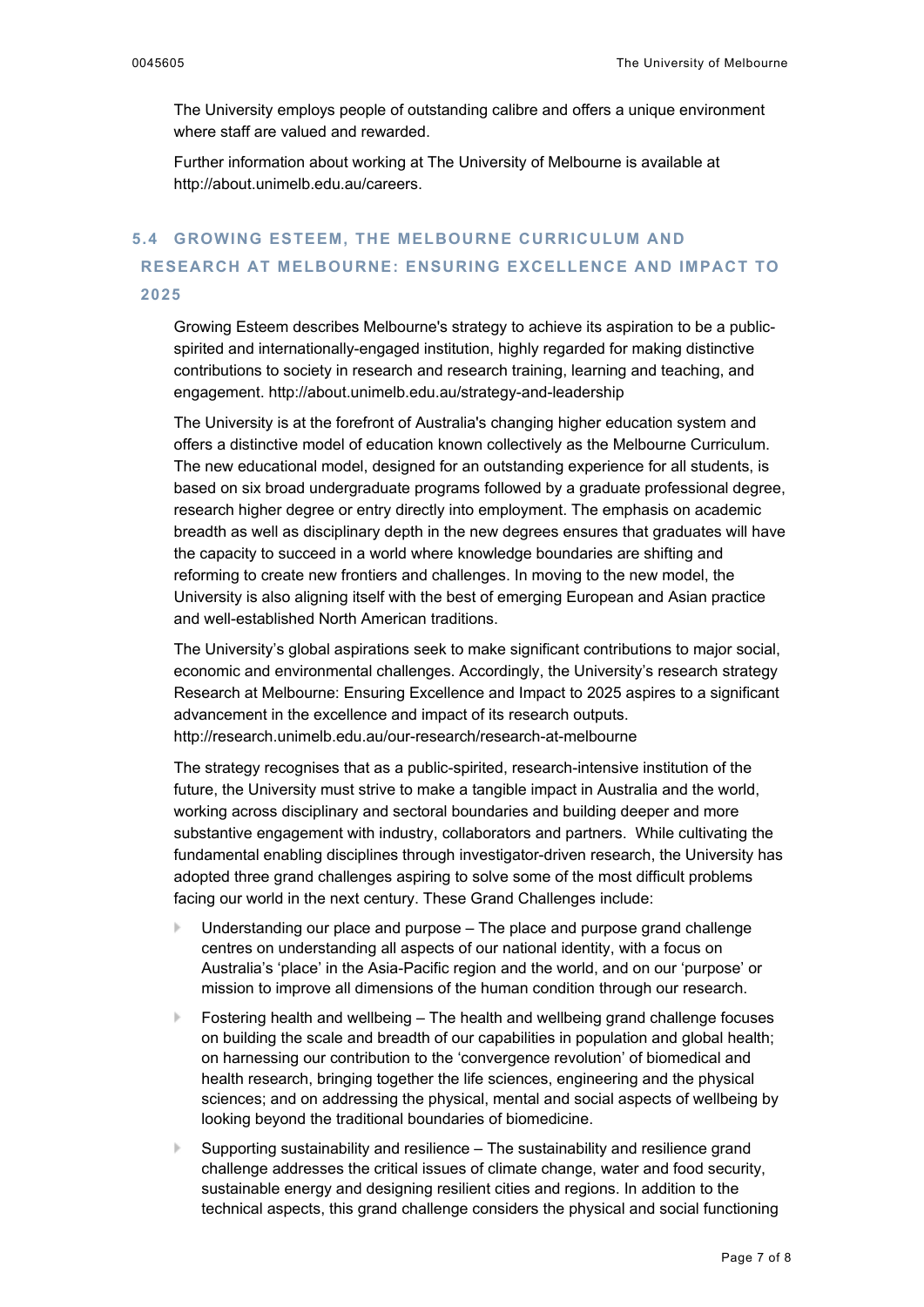The University employs people of outstanding calibre and offers a unique environment where staff are valued and rewarded.

Further information about working at The University of Melbourne is available at [http://about.unimelb.edu.au/careers.](http://about.unimelb.edu.au/careers)

### **5.4 GROWING ESTEEM, THE MELBOURNE CURRICULUM AND RESEARCH AT MELBOURNE: ENSURING EXCELLENCE AND IMPACT TO 2025**

Growing Esteem describes Melbourne's strategy to achieve its aspiration to be a publicspirited and internationally-engaged institution, highly regarded for making distinctive contributions to society in research and research training, learning and teaching, and engagement.<http://about.unimelb.edu.au/strategy-and-leadership>

The University is at the forefront of Australia's changing higher education system and offers a distinctive model of education known collectively as the Melbourne Curriculum. The new educational model, designed for an outstanding experience for all students, is based on six broad undergraduate programs followed by a graduate professional degree, research higher degree or entry directly into employment. The emphasis on academic breadth as well as disciplinary depth in the new degrees ensures that graduates will have the capacity to succeed in a world where knowledge boundaries are shifting and reforming to create new frontiers and challenges. In moving to the new model, the University is also aligning itself with the best of emerging European and Asian practice and well-established North American traditions.

The University's global aspirations seek to make significant contributions to major social, economic and environmental challenges. Accordingly, the University's research strategy Research at Melbourne: Ensuring Excellence and Impact to 2025 aspires to a significant advancement in the excellence and impact of its research outputs. <http://research.unimelb.edu.au/our-research/research-at-melbourne>

The strategy recognises that as a public-spirited, research-intensive institution of the future, the University must strive to make a tangible impact in Australia and the world, working across disciplinary and sectoral boundaries and building deeper and more substantive engagement with industry, collaborators and partners. While cultivating the fundamental enabling disciplines through investigator-driven research, the University has adopted three grand challenges aspiring to solve some of the most difficult problems facing our world in the next century. These Grand Challenges include:

- Understanding our place and purpose The place and purpose grand challenge centres on understanding all aspects of our national identity, with a focus on Australia's 'place' in the Asia-Pacific region and the world, and on our 'purpose' or mission to improve all dimensions of the human condition through our research.
- Fostering health and wellbeing The health and wellbeing grand challenge focuses on building the scale and breadth of our capabilities in population and global health; on harnessing our contribution to the 'convergence revolution' of biomedical and health research, bringing together the life sciences, engineering and the physical sciences; and on addressing the physical, mental and social aspects of wellbeing by looking beyond the traditional boundaries of biomedicine.
- Supporting sustainability and resilience The sustainability and resilience grand challenge addresses the critical issues of climate change, water and food security, sustainable energy and designing resilient cities and regions. In addition to the technical aspects, this grand challenge considers the physical and social functioning